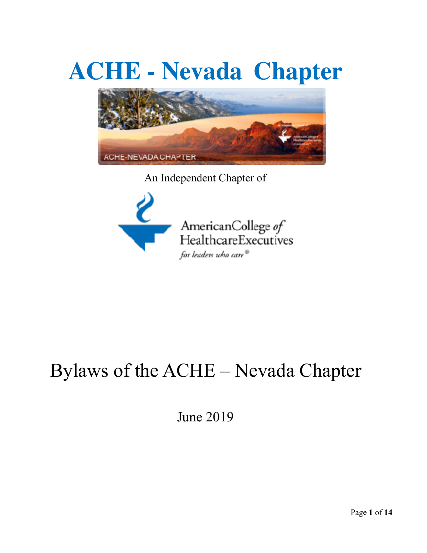# **ACHE - Nevada Chapter**



An Independent Chapter of



# Bylaws of the ACHE – Nevada Chapter

June 2019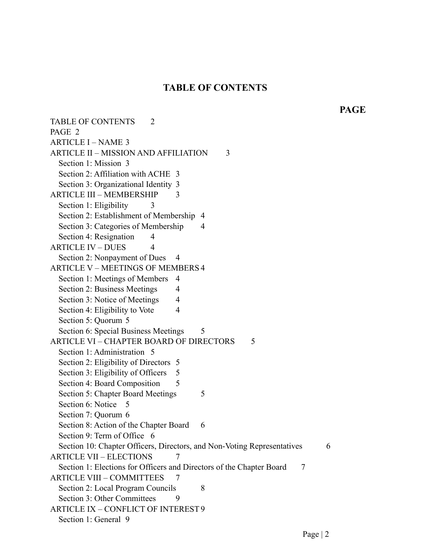#### <span id="page-1-0"></span>**TABLE OF CONTENTS**

<span id="page-1-1"></span> **PAGE** TABLE OF CONTENTS 2 [PAGE 2](#page-1-1)  [ARTICLE I – NAME 3](#page-2-0)  ARTICLE II – MISSION AND AFFILIATION 3 [Section 1: Mission 3](#page-2-2)  [Section 2: Affiliation with ACHE 3](#page-2-3)  [Section 3: Organizational Identity 3](#page-2-4)  [ARTICLE III – MEMBERSHIP 3](#page-2-5)  Section 1: Eligibility 3 [Section 2: Establishment of Membership 4](#page-3-0)  Section 3: Categories of Membership 4 Section 4: Resignation 4 [ARTICLE IV – DUES 4](#page-3-3)  Section 2: Nonpayment of Dues 4 [ARTICLE V – MEETINGS OF MEMBERS 4](#page-3-5)  [Section 1: Meetings of Members 4](#page-3-6)  Section 2: Business Meetings 4 Section 3: Notice of Meetings 4 Section 4: Eligibility to Vote 4 [Section 5: Quorum 5](#page-4-0)  Section 6: Special Business Meetings 5 ARTICLE VI – CHAPTER BOARD OF DIRECTORS 5 Section 1: Administration 5 Section 2: Eligibility of Directors 5 Section 3: Eligibility of Officers 5 Section 4: Board Composition 5 Section 5: Chapter Board Meetings 5 Section 6: Notice 5 [Section 7: Quorum 6](#page-5-0)  Section 8: Action of the Chapter Board 6 Section 9: Term of Office 6 Section 10: Chapter Officers, Directors, and Non-Voting Representatives 6 ARTICLE VII – ELECTIONS 7 Section 1: Elections for Officers and Directors of the Chapter Board 7 [ARTICLE VIII – COMMITTEES 7](#page-6-2)  Section 2: Local Program Councils 8 Section 3: Other Committees 9 [ARTICLE IX – CONFLICT OF INTEREST 9](#page-8-1)  [Section 1: General 9](#page-8-2)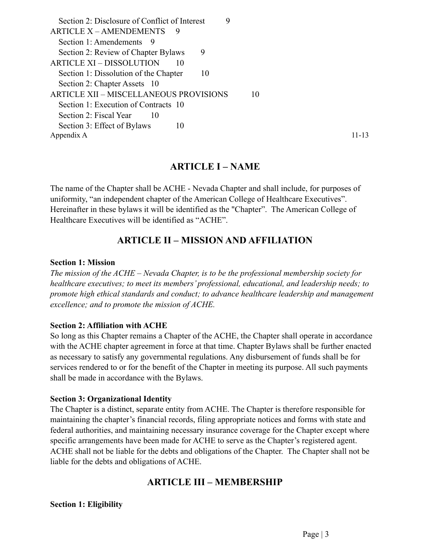| Section 2: Disclosure of Conflict of Interest<br>9  |       |
|-----------------------------------------------------|-------|
| ARTICLE X – AMENDEMENTS<br>9                        |       |
| Section 1: Amendements 9                            |       |
| Section 2: Review of Chapter Bylaws<br>9            |       |
| <b>ARTICLE XI - DISSOLUTION</b><br>10               |       |
| Section 1: Dissolution of the Chapter<br>10         |       |
| Section 2: Chapter Assets 10                        |       |
| <b>ARTICLE XII - MISCELLANEOUS PROVISIONS</b><br>10 |       |
| Section 1: Execution of Contracts 10                |       |
| Section 2: Fiscal Year<br>- 10                      |       |
| Section 3: Effect of Bylaws<br>10                   |       |
| Appendix A                                          | 11-13 |

# <span id="page-2-0"></span>**ARTICLE I – NAME**

The name of the Chapter shall be ACHE - Nevada Chapter and shall include, for purposes of uniformity, "an independent chapter of the American College of Healthcare Executives". Hereinafter in these bylaws it will be identified as the "Chapter". The American College of Healthcare Executives will be identified as "ACHE".

#### <span id="page-2-1"></span>**ARTICLE II – MISSION AND AFFILIATION**

#### <span id="page-2-2"></span>**Section 1: Mission**

*The mission of the ACHE – Nevada Chapter, is to be the professional membership society for healthcare executives; to meet its members' professional, educational, and leadership needs; to promote high ethical standards and conduct; to advance healthcare leadership and management excellence; and to promote the mission of ACHE.* 

#### <span id="page-2-3"></span>**Section 2: Affiliation with ACHE**

So long as this Chapter remains a Chapter of the ACHE, the Chapter shall operate in accordance with the ACHE chapter agreement in force at that time. Chapter Bylaws shall be further enacted as necessary to satisfy any governmental regulations. Any disbursement of funds shall be for services rendered to or for the benefit of the Chapter in meeting its purpose. All such payments shall be made in accordance with the Bylaws.

#### <span id="page-2-4"></span>**Section 3: Organizational Identity**

The Chapter is a distinct, separate entity from ACHE. The Chapter is therefore responsible for maintaining the chapter's financial records, filing appropriate notices and forms with state and federal authorities, and maintaining necessary insurance coverage for the Chapter except where specific arrangements have been made for ACHE to serve as the Chapter's registered agent. ACHE shall not be liable for the debts and obligations of the Chapter. The Chapter shall not be liable for the debts and obligations of ACHE.

#### <span id="page-2-5"></span>**ARTICLE III – MEMBERSHIP**

#### <span id="page-2-6"></span>**Section 1: Eligibility**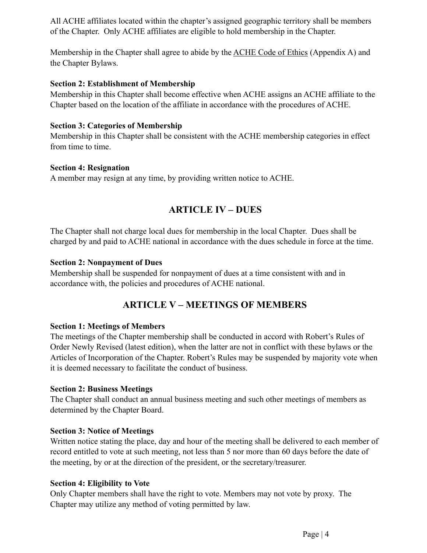All ACHE affiliates located within the chapter's assigned geographic territory shall be members of the Chapter. Only ACHE affiliates are eligible to hold membership in the Chapter.

Membership in the Chapter shall agree to abide by the ACHE Code of Ethics (Appendix A) and the Chapter Bylaws.

#### <span id="page-3-0"></span>**Section 2: Establishment of Membership**

Membership in this Chapter shall become effective when ACHE assigns an ACHE affiliate to the Chapter based on the location of the affiliate in accordance with the procedures of ACHE.

#### <span id="page-3-1"></span>**Section 3: Categories of Membership**

Membership in this Chapter shall be consistent with the ACHE membership categories in effect from time to time.

#### <span id="page-3-2"></span>**Section 4: Resignation**

A member may resign at any time, by providing written notice to ACHE.

# <span id="page-3-3"></span>**ARTICLE IV – DUES**

The Chapter shall not charge local dues for membership in the local Chapter. Dues shall be charged by and paid to ACHE national in accordance with the dues schedule in force at the time.

#### <span id="page-3-4"></span>**Section 2: Nonpayment of Dues**

Membership shall be suspended for nonpayment of dues at a time consistent with and in accordance with, the policies and procedures of ACHE national.

# <span id="page-3-5"></span>**ARTICLE V – MEETINGS OF MEMBERS**

#### <span id="page-3-6"></span>**Section 1: Meetings of Members**

The meetings of the Chapter membership shall be conducted in accord with Robert's Rules of Order Newly Revised (latest edition), when the latter are not in conflict with these bylaws or the Articles of Incorporation of the Chapter. Robert's Rules may be suspended by majority vote when it is deemed necessary to facilitate the conduct of business.

#### <span id="page-3-7"></span>**Section 2: Business Meetings**

The Chapter shall conduct an annual business meeting and such other meetings of members as determined by the Chapter Board.

#### <span id="page-3-8"></span>**Section 3: Notice of Meetings**

Written notice stating the place, day and hour of the meeting shall be delivered to each member of record entitled to vote at such meeting, not less than 5 nor more than 60 days before the date of the meeting, by or at the direction of the president, or the secretary/treasurer.

#### <span id="page-3-9"></span>**Section 4: Eligibility to Vote**

Only Chapter members shall have the right to vote. Members may not vote by proxy. The Chapter may utilize any method of voting permitted by law.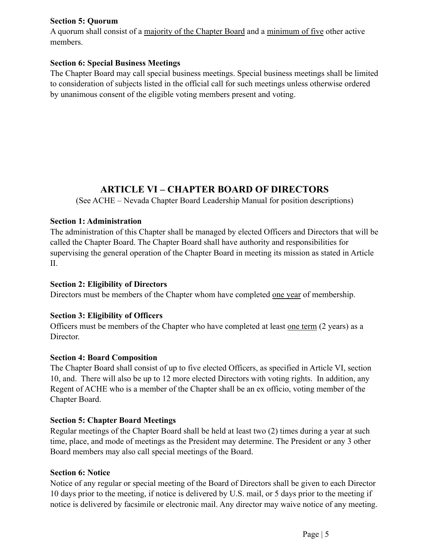#### <span id="page-4-0"></span>**Section 5: Quorum**

A quorum shall consist of a majority of the Chapter Board and a minimum of five other active members.

#### <span id="page-4-1"></span>**Section 6: Special Business Meetings**

The Chapter Board may call special business meetings. Special business meetings shall be limited to consideration of subjects listed in the official call for such meetings unless otherwise ordered by unanimous consent of the eligible voting members present and voting.

# <span id="page-4-2"></span>**ARTICLE VI – CHAPTER BOARD OF DIRECTORS**

(See ACHE – Nevada Chapter Board Leadership Manual for position descriptions)

#### <span id="page-4-3"></span>**Section 1: Administration**

The administration of this Chapter shall be managed by elected Officers and Directors that will be called the Chapter Board. The Chapter Board shall have authority and responsibilities for supervising the general operation of the Chapter Board in meeting its mission as stated in Article II.

#### <span id="page-4-4"></span>**Section 2: Eligibility of Directors**

Directors must be members of the Chapter whom have completed one year of membership.

#### <span id="page-4-5"></span>**Section 3: Eligibility of Officers**

Officers must be members of the Chapter who have completed at least one term (2 years) as a Director.

#### <span id="page-4-6"></span>**Section 4: Board Composition**

The Chapter Board shall consist of up to five elected Officers, as specified in Article VI, section 10, and. There will also be up to 12 more elected Directors with voting rights. In addition, any Regent of ACHE who is a member of the Chapter shall be an ex officio, voting member of the Chapter Board.

#### <span id="page-4-7"></span>**Section 5: Chapter Board Meetings**

Regular meetings of the Chapter Board shall be held at least two (2) times during a year at such time, place, and mode of meetings as the President may determine. The President or any 3 other Board members may also call special meetings of the Board.

#### <span id="page-4-8"></span>**Section 6: Notice**

Notice of any regular or special meeting of the Board of Directors shall be given to each Director 10 days prior to the meeting, if notice is delivered by U.S. mail, or 5 days prior to the meeting if notice is delivered by facsimile or electronic mail. Any director may waive notice of any meeting.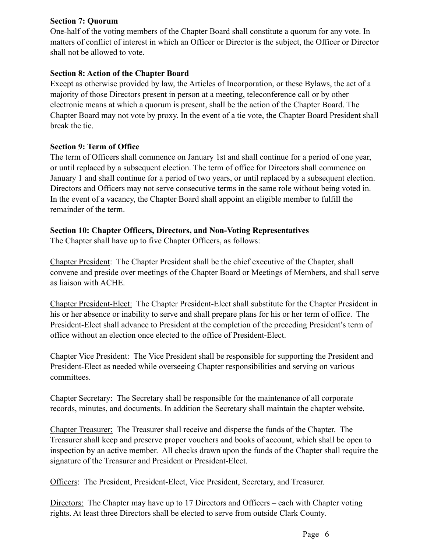#### <span id="page-5-0"></span>**Section 7: Quorum**

One-half of the voting members of the Chapter Board shall constitute a quorum for any vote. In matters of conflict of interest in which an Officer or Director is the subject, the Officer or Director shall not be allowed to vote.

#### <span id="page-5-1"></span>**Section 8: Action of the Chapter Board**

Except as otherwise provided by law, the Articles of Incorporation, or these Bylaws, the act of a majority of those Directors present in person at a meeting, teleconference call or by other electronic means at which a quorum is present, shall be the action of the Chapter Board. The Chapter Board may not vote by proxy. In the event of a tie vote, the Chapter Board President shall break the tie.

#### <span id="page-5-2"></span>**Section 9: Term of Office**

The term of Officers shall commence on January 1st and shall continue for a period of one year, or until replaced by a subsequent election. The term of office for Directors shall commence on January 1 and shall continue for a period of two years, or until replaced by a subsequent election. Directors and Officers may not serve consecutive terms in the same role without being voted in. In the event of a vacancy, the Chapter Board shall appoint an eligible member to fulfill the remainder of the term.

#### <span id="page-5-3"></span>**Section 10: Chapter Officers, Directors, and Non-Voting Representatives**

The Chapter shall have up to five Chapter Officers, as follows:

Chapter President: The Chapter President shall be the chief executive of the Chapter, shall convene and preside over meetings of the Chapter Board or Meetings of Members, and shall serve as liaison with ACHE.

Chapter President-Elect: The Chapter President-Elect shall substitute for the Chapter President in his or her absence or inability to serve and shall prepare plans for his or her term of office. The President-Elect shall advance to President at the completion of the preceding President's term of office without an election once elected to the office of President-Elect.

Chapter Vice President: The Vice President shall be responsible for supporting the President and President-Elect as needed while overseeing Chapter responsibilities and serving on various committees.

Chapter Secretary: The Secretary shall be responsible for the maintenance of all corporate records, minutes, and documents. In addition the Secretary shall maintain the chapter website.

Chapter Treasurer: The Treasurer shall receive and disperse the funds of the Chapter. The Treasurer shall keep and preserve proper vouchers and books of account, which shall be open to inspection by an active member. All checks drawn upon the funds of the Chapter shall require the signature of the Treasurer and President or President-Elect.

Officers: The President, President-Elect, Vice President, Secretary, and Treasurer.

Directors: The Chapter may have up to 17 Directors and Officers – each with Chapter voting rights. At least three Directors shall be elected to serve from outside Clark County.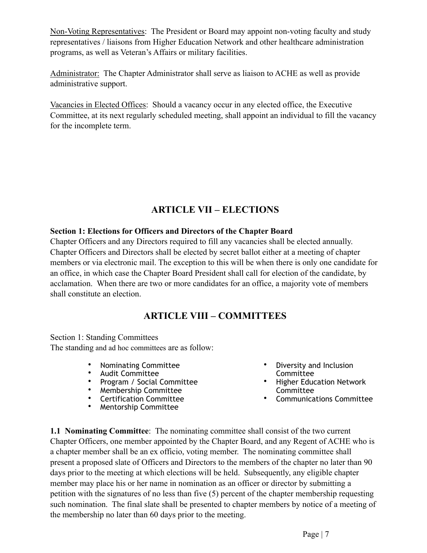Non-Voting Representatives: The President or Board may appoint non-voting faculty and study representatives / liaisons from Higher Education Network and other healthcare administration programs, as well as Veteran's Affairs or military facilities.

Administrator: The Chapter Administrator shall serve as liaison to ACHE as well as provide administrative support.

Vacancies in Elected Offices: Should a vacancy occur in any elected office, the Executive Committee, at its next regularly scheduled meeting, shall appoint an individual to fill the vacancy for the incomplete term.

# <span id="page-6-0"></span>**ARTICLE VII – ELECTIONS**

#### <span id="page-6-1"></span>**Section 1: Elections for Officers and Directors of the Chapter Board**

Chapter Officers and any Directors required to fill any vacancies shall be elected annually. Chapter Officers and Directors shall be elected by secret ballot either at a meeting of chapter members or via electronic mail. The exception to this will be when there is only one candidate for an office, in which case the Chapter Board President shall call for election of the candidate, by acclamation. When there are two or more candidates for an office, a majority vote of members shall constitute an election.

# <span id="page-6-2"></span>**ARTICLE VIII – COMMITTEES**

Section 1: Standing Committees The standing and ad hoc committees are as follow:

- 
- Nominating Committee<br>• Andit Committee • Audit Committee
- Program / Social Committee
- Membership Committee
- Certification Committee
- Mentorship Committee
- Diversity and Inclusion Committee
- Higher Education Network Committee
- Communications Committee

**1.1 Nominating Committee**: The nominating committee shall consist of the two current Chapter Officers, one member appointed by the Chapter Board, and any Regent of ACHE who is a chapter member shall be an ex officio, voting member. The nominating committee shall present a proposed slate of Officers and Directors to the members of the chapter no later than 90 days prior to the meeting at which elections will be held. Subsequently, any eligible chapter member may place his or her name in nomination as an officer or director by submitting a petition with the signatures of no less than five (5) percent of the chapter membership requesting such nomination. The final slate shall be presented to chapter members by notice of a meeting of the membership no later than 60 days prior to the meeting.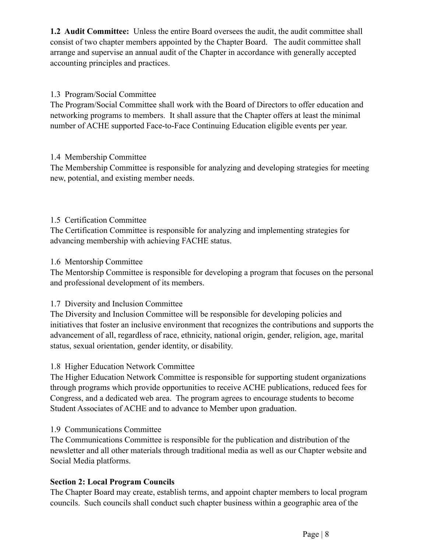**1.2 Audit Committee:** Unless the entire Board oversees the audit, the audit committee shall consist of two chapter members appointed by the Chapter Board. The audit committee shall arrange and supervise an annual audit of the Chapter in accordance with generally accepted accounting principles and practices.

#### 1.3 Program/Social Committee

The Program/Social Committee shall work with the Board of Directors to offer education and networking programs to members. It shall assure that the Chapter offers at least the minimal number of ACHE supported Face-to-Face Continuing Education eligible events per year.

#### 1.4 Membership Committee

The Membership Committee is responsible for analyzing and developing strategies for meeting new, potential, and existing member needs.

#### 1.5 Certification Committee

The Certification Committee is responsible for analyzing and implementing strategies for advancing membership with achieving FACHE status.

#### 1.6 Mentorship Committee

The Mentorship Committee is responsible for developing a program that focuses on the personal and professional development of its members.

#### 1.7 Diversity and Inclusion Committee

The Diversity and Inclusion Committee will be responsible for developing policies and initiatives that foster an inclusive environment that recognizes the contributions and supports the advancement of all, regardless of race, ethnicity, national origin, gender, religion, age, marital status, sexual orientation, gender identity, or disability.

#### 1.8 Higher Education Network Committee

The Higher Education Network Committee is responsible for supporting student organizations through programs which provide opportunities to receive ACHE publications, reduced fees for Congress, and a dedicated web area. The program agrees to encourage students to become Student Associates of ACHE and to advance to Member upon graduation.

#### 1.9 Communications Committee

The Communications Committee is responsible for the publication and distribution of the newsletter and all other materials through traditional media as well as our Chapter website and Social Media platforms.

#### <span id="page-7-0"></span>**Section 2: Local Program Councils**

The Chapter Board may create, establish terms, and appoint chapter members to local program councils. Such councils shall conduct such chapter business within a geographic area of the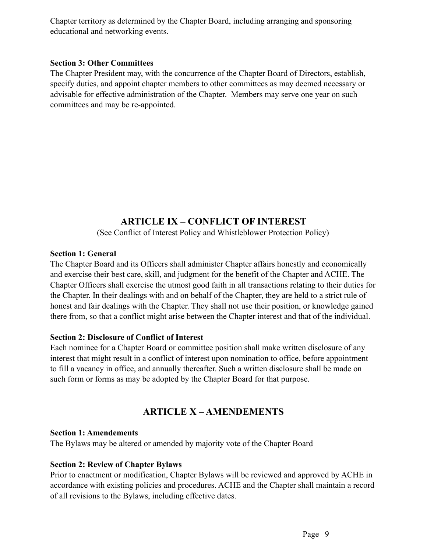Chapter territory as determined by the Chapter Board, including arranging and sponsoring educational and networking events.

#### <span id="page-8-0"></span>**Section 3: Other Committees**

The Chapter President may, with the concurrence of the Chapter Board of Directors, establish, specify duties, and appoint chapter members to other committees as may deemed necessary or advisable for effective administration of the Chapter. Members may serve one year on such committees and may be re-appointed.

# <span id="page-8-1"></span>**ARTICLE IX – CONFLICT OF INTEREST**

(See Conflict of Interest Policy and Whistleblower Protection Policy)

#### <span id="page-8-2"></span>**Section 1: General**

The Chapter Board and its Officers shall administer Chapter affairs honestly and economically and exercise their best care, skill, and judgment for the benefit of the Chapter and ACHE. The Chapter Officers shall exercise the utmost good faith in all transactions relating to their duties for the Chapter. In their dealings with and on behalf of the Chapter, they are held to a strict rule of honest and fair dealings with the Chapter. They shall not use their position, or knowledge gained there from, so that a conflict might arise between the Chapter interest and that of the individual.

#### <span id="page-8-3"></span>**Section 2: Disclosure of Conflict of Interest**

Each nominee for a Chapter Board or committee position shall make written disclosure of any interest that might result in a conflict of interest upon nomination to office, before appointment to fill a vacancy in office, and annually thereafter. Such a written disclosure shall be made on such form or forms as may be adopted by the Chapter Board for that purpose.

# <span id="page-8-4"></span>**ARTICLE X – AMENDEMENTS**

#### <span id="page-8-5"></span>**Section 1: Amendements**

The Bylaws may be altered or amended by majority vote of the Chapter Board

#### <span id="page-8-6"></span>**Section 2: Review of Chapter Bylaws**

Prior to enactment or modification, Chapter Bylaws will be reviewed and approved by ACHE in accordance with existing policies and procedures. ACHE and the Chapter shall maintain a record of all revisions to the Bylaws, including effective dates.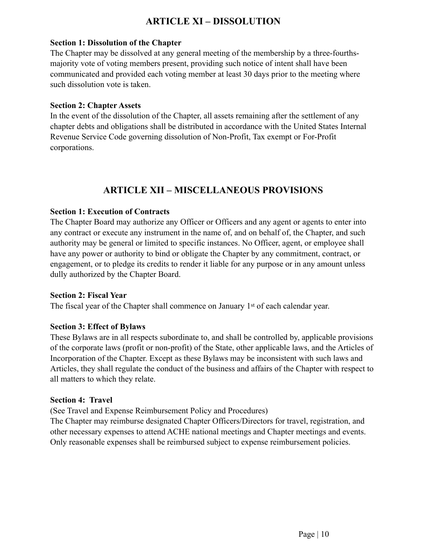# <span id="page-9-0"></span>**ARTICLE XI – DISSOLUTION**

#### <span id="page-9-1"></span>**Section 1: Dissolution of the Chapter**

The Chapter may be dissolved at any general meeting of the membership by a three-fourthsmajority vote of voting members present, providing such notice of intent shall have been communicated and provided each voting member at least 30 days prior to the meeting where such dissolution vote is taken.

#### <span id="page-9-2"></span>**Section 2: Chapter Assets**

In the event of the dissolution of the Chapter, all assets remaining after the settlement of any chapter debts and obligations shall be distributed in accordance with the United States Internal Revenue Service Code governing dissolution of Non-Profit, Tax exempt or For-Profit corporations.

# <span id="page-9-3"></span>**ARTICLE XII – MISCELLANEOUS PROVISIONS**

#### <span id="page-9-4"></span>**Section 1: Execution of Contracts**

The Chapter Board may authorize any Officer or Officers and any agent or agents to enter into any contract or execute any instrument in the name of, and on behalf of, the Chapter, and such authority may be general or limited to specific instances. No Officer, agent, or employee shall have any power or authority to bind or obligate the Chapter by any commitment, contract, or engagement, or to pledge its credits to render it liable for any purpose or in any amount unless dully authorized by the Chapter Board.

#### <span id="page-9-5"></span>**Section 2: Fiscal Year**

The fiscal year of the Chapter shall commence on January 1st of each calendar year.

#### <span id="page-9-6"></span>**Section 3: Effect of Bylaws**

These Bylaws are in all respects subordinate to, and shall be controlled by, applicable provisions of the corporate laws (profit or non-profit) of the State, other applicable laws, and the Articles of Incorporation of the Chapter. Except as these Bylaws may be inconsistent with such laws and Articles, they shall regulate the conduct of the business and affairs of the Chapter with respect to all matters to which they relate.

#### **Section 4: Travel**

(See Travel and Expense Reimbursement Policy and Procedures)

The Chapter may reimburse designated Chapter Officers/Directors for travel, registration, and other necessary expenses to attend ACHE national meetings and Chapter meetings and events. Only reasonable expenses shall be reimbursed subject to expense reimbursement policies.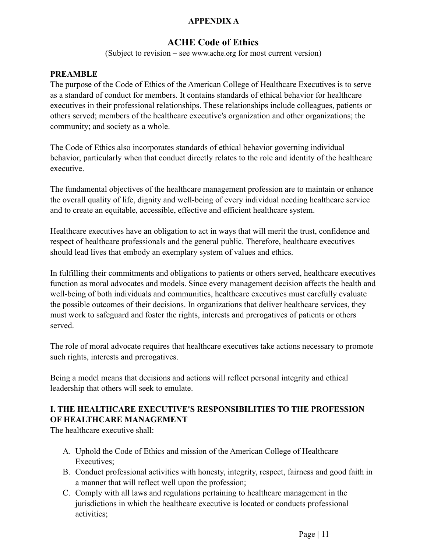### **APPENDIX A**

# **ACHE Code of Ethics**

(Subject to revision – see [www.ache.org](http://www.ache.org) for most current version)

#### **PREAMBLE**

The purpose of the Code of Ethics of the American College of Healthcare Executives is to serve as a standard of conduct for members. It contains standards of ethical behavior for healthcare executives in their professional relationships. These relationships include colleagues, patients or others served; members of the healthcare executive's organization and other organizations; the community; and society as a whole.

The Code of Ethics also incorporates standards of ethical behavior governing individual behavior, particularly when that conduct directly relates to the role and identity of the healthcare executive.

The fundamental objectives of the healthcare management profession are to maintain or enhance the overall quality of life, dignity and well-being of every individual needing healthcare service and to create an equitable, accessible, effective and efficient healthcare system.

Healthcare executives have an obligation to act in ways that will merit the trust, confidence and respect of healthcare professionals and the general public. Therefore, healthcare executives should lead lives that embody an exemplary system of values and ethics.

In fulfilling their commitments and obligations to patients or others served, healthcare executives function as moral advocates and models. Since every management decision affects the health and well-being of both individuals and communities, healthcare executives must carefully evaluate the possible outcomes of their decisions. In organizations that deliver healthcare services, they must work to safeguard and foster the rights, interests and prerogatives of patients or others served.

The role of moral advocate requires that healthcare executives take actions necessary to promote such rights, interests and prerogatives.

Being a model means that decisions and actions will reflect personal integrity and ethical leadership that others will seek to emulate.

#### **I. THE HEALTHCARE EXECUTIVE'S RESPONSIBILITIES TO THE PROFESSION OF HEALTHCARE MANAGEMENT**

The healthcare executive shall:

- A. Uphold the Code of Ethics and mission of the American College of Healthcare Executives;
- B. Conduct professional activities with honesty, integrity, respect, fairness and good faith in a manner that will reflect well upon the profession;
- C. Comply with all laws and regulations pertaining to healthcare management in the jurisdictions in which the healthcare executive is located or conducts professional activities;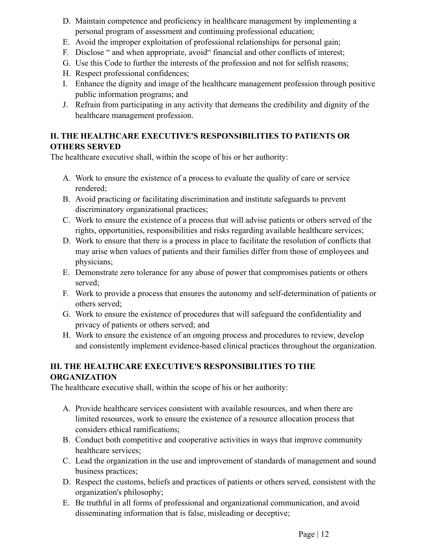- D. Maintain competence and proficiency in healthcare management by implementing a personal program of assessment and continuing professional education;
- E. Avoid the improper exploitation of professional relationships for personal gain;
- F. Disclose " and when appropriate, avoid" financial and other conflicts of interest;
- G. Use this Code to further the interests of the profession and not for selfish reasons;
- H. Respect professional confidences;
- I. Enhance the dignity and image of the healthcare management profession through positive public information programs; and
- J. Refrain from participating in any activity that demeans the credibility and dignity of the healthcare management profession.

#### **II. THE HEALTHCARE EXECUTIVE'S RESPONSIBILITIES TO PATIENTS OR OTHERS SERVED**

The healthcare executive shall, within the scope of his or her authority:

- A. Work to ensure the existence of a process to evaluate the quality of care or service rendered;
- B. Avoid practicing or facilitating discrimination and institute safeguards to prevent discriminatory organizational practices;
- C. Work to ensure the existence of a process that will advise patients or others served of the rights, opportunities, responsibilities and risks regarding available healthcare services;
- D. Work to ensure that there is a process in place to facilitate the resolution of conflicts that may arise when values of patients and their families differ from those of employees and physicians;
- E. Demonstrate zero tolerance for any abuse of power that compromises patients or others served;
- F. Work to provide a process that ensures the autonomy and self-determination of patients or others served;
- G. Work to ensure the existence of procedures that will safeguard the confidentiality and privacy of patients or others served; and
- H. Work to ensure the existence of an ongoing process and procedures to review, develop and consistently implement evidence-based clinical practices throughout the organization.

# **III. THE HEALTHCARE EXECUTIVE'S RESPONSIBILITIES TO THE ORGANIZATION**

The healthcare executive shall, within the scope of his or her authority:

- A. Provide healthcare services consistent with available resources, and when there are limited resources, work to ensure the existence of a resource allocation process that considers ethical ramifications;
- B. Conduct both competitive and cooperative activities in ways that improve community healthcare services;
- C. Lead the organization in the use and improvement of standards of management and sound business practices;
- D. Respect the customs, beliefs and practices of patients or others served, consistent with the organization's philosophy;
- E. Be truthful in all forms of professional and organizational communication, and avoid disseminating information that is false, misleading or deceptive;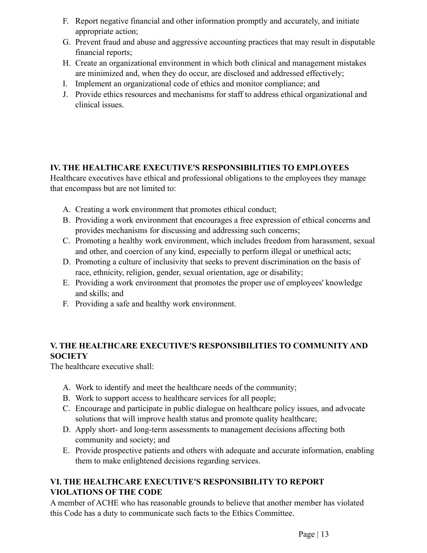- F. Report negative financial and other information promptly and accurately, and initiate appropriate action;
- G. Prevent fraud and abuse and aggressive accounting practices that may result in disputable financial reports;
- H. Create an organizational environment in which both clinical and management mistakes are minimized and, when they do occur, are disclosed and addressed effectively;
- I. Implement an organizational code of ethics and monitor compliance; and
- J. Provide ethics resources and mechanisms for staff to address ethical organizational and clinical issues.

#### **IV. THE HEALTHCARE EXECUTIVE'S RESPONSIBILITIES TO EMPLOYEES**

Healthcare executives have ethical and professional obligations to the employees they manage that encompass but are not limited to:

- A. Creating a work environment that promotes ethical conduct;
- B. Providing a work environment that encourages a free expression of ethical concerns and provides mechanisms for discussing and addressing such concerns;
- C. Promoting a healthy work environment, which includes freedom from harassment, sexual and other, and coercion of any kind, especially to perform illegal or unethical acts;
- D. Promoting a culture of inclusivity that seeks to prevent discrimination on the basis of race, ethnicity, religion, gender, sexual orientation, age or disability;
- E. Providing a work environment that promotes the proper use of employees' knowledge and skills; and
- F. Providing a safe and healthy work environment.

#### **V. THE HEALTHCARE EXECUTIVE'S RESPONSIBILITIES TO COMMUNITY AND SOCIETY**

The healthcare executive shall:

- A. Work to identify and meet the healthcare needs of the community;
- B. Work to support access to healthcare services for all people;
- C. Encourage and participate in public dialogue on healthcare policy issues, and advocate solutions that will improve health status and promote quality healthcare;
- D. Apply short- and long-term assessments to management decisions affecting both community and society; and
- E. Provide prospective patients and others with adequate and accurate information, enabling them to make enlightened decisions regarding services.

# **VI. THE HEALTHCARE EXECUTIVE'S RESPONSIBILITY TO REPORT VIOLATIONS OF THE CODE**

A member of ACHE who has reasonable grounds to believe that another member has violated this Code has a duty to communicate such facts to the Ethics Committee.